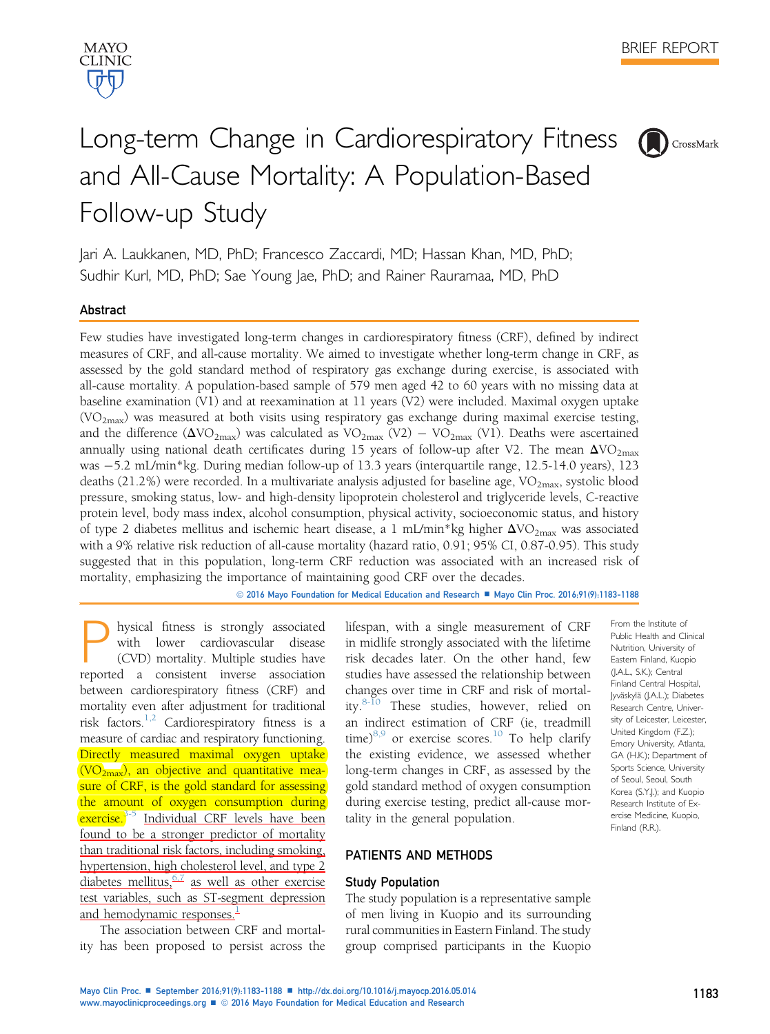

# Long-term Change in Cardiorespiratory Fitness and All-Cause Mortality: A Population-Based Follow-up Study



From the Institute of Public Health and Clinical Nutrition, University of Eastern Finland, Kuopio (J.A.L., S.K.); Central Finland Central Hospital, Jyväskylä (J.A.L.); Diabetes Research Centre, University of Leicester, Leicester, United Kingdom (F.Z.); Emory University, Atlanta, GA (H.K.); Department of Sports Science, University of Seoul, Seoul, South Korea (S.Y.J.); and Kuopio Research Institute of Exercise Medicine, Kuopio, Finland (R.R.).

Jari A. Laukkanen, MD, PhD; Francesco Zaccardi, MD; Hassan Khan, MD, PhD; Sudhir Kurl, MD, PhD; Sae Young Jae, PhD; and Rainer Rauramaa, MD, PhD

## Abstract

Few studies have investigated long-term changes in cardiorespiratory fitness (CRF), defined by indirect measures of CRF, and all-cause mortality. We aimed to investigate whether long-term change in CRF, as assessed by the gold standard method of respiratory gas exchange during exercise, is associated with all-cause mortality. A population-based sample of 579 men aged 42 to 60 years with no missing data at baseline examination (V1) and at reexamination at 11 years (V2) were included. Maximal oxygen uptake  $(VO<sub>2max</sub>)$  was measured at both visits using respiratory gas exchange during maximal exercise testing, and the difference ( $\Delta\text{VO}_{2\text{max}}$ ) was calculated as  $\text{VO}_{2\text{max}}$  (V2)  $-$  VO<sub>2max</sub> (V1). Deaths were ascertained annually using national death certificates during 15 years of follow-up after V2. The mean  $\Delta \text{VO}_{2\text{max}}$ was 5.2 mL/min\*kg. During median follow-up of 13.3 years (interquartile range, 12.5-14.0 years), 123 deaths (21.2%) were recorded. In a multivariate analysis adjusted for baseline age,  $VO_{2max}$ , systolic blood pressure, smoking status, low- and high-density lipoprotein cholesterol and triglyceride levels, C-reactive protein level, body mass index, alcohol consumption, physical activity, socioeconomic status, and history of type 2 diabetes mellitus and ischemic heart disease, a 1 mL/min\*kg higher  $\Delta$ VO<sub>2max</sub> was associated with a 9% relative risk reduction of all-cause mortality (hazard ratio, 0.91; 95% CI, 0.87-0.95). This study suggested that in this population, long-term CRF reduction was associated with an increased risk of mortality, emphasizing the importance of maintaining good CRF over the decades.

© 2016 Mayo Foundation for Medical Education and Research ■ Mayo Clin Proc. 2016;91(9):1183-1188

hysical fitness is strongly associated with lower cardiovascular disease (CVD) mortality. Multiple studies have reported a consistent inverse association between cardiorespiratory fitness (CRF) and mortality even after adjustment for traditional risk factors.[1,2](#page-4-0) Cardiorespiratory fitness is a measure of cardiac and respiratory functioning. Directly measured maximal oxygen uptake  $\overline{(VO_{2max})}$ , an objective and quantitative measure of CRF, is the gold standard for assessing the amount of oxygen consumption during exercise.<sup>3-5</sup> Individual CRF levels have been found to be a stronger predictor of mortality than traditional risk factors, including smoking, hypertension, high cholesterol level, and type 2 diabetes mellitus, $\frac{6.7}{1}$  as well as other exercise test variables, such as ST-segment depression and hemodynamic responses. $\frac{1}{2}$  $\frac{1}{2}$  $\frac{1}{2}$ 

The association between CRF and mortality has been proposed to persist across the lifespan, with a single measurement of CRF in midlife strongly associated with the lifetime risk decades later. On the other hand, few studies have assessed the relationship between changes over time in CRF and risk of mortality.[8-10](#page-4-0) These studies, however, relied on an indirect estimation of CRF (ie, treadmill time) $8,9$  or exercise scores.<sup>[10](#page-5-0)</sup> To help clarify the existing evidence, we assessed whether long-term changes in CRF, as assessed by the gold standard method of oxygen consumption during exercise testing, predict all-cause mortality in the general population.

## PATIENTS AND METHODS

## Study Population

The study population is a representative sample of men living in Kuopio and its surrounding rural communities in Eastern Finland. The study group comprised participants in the Kuopio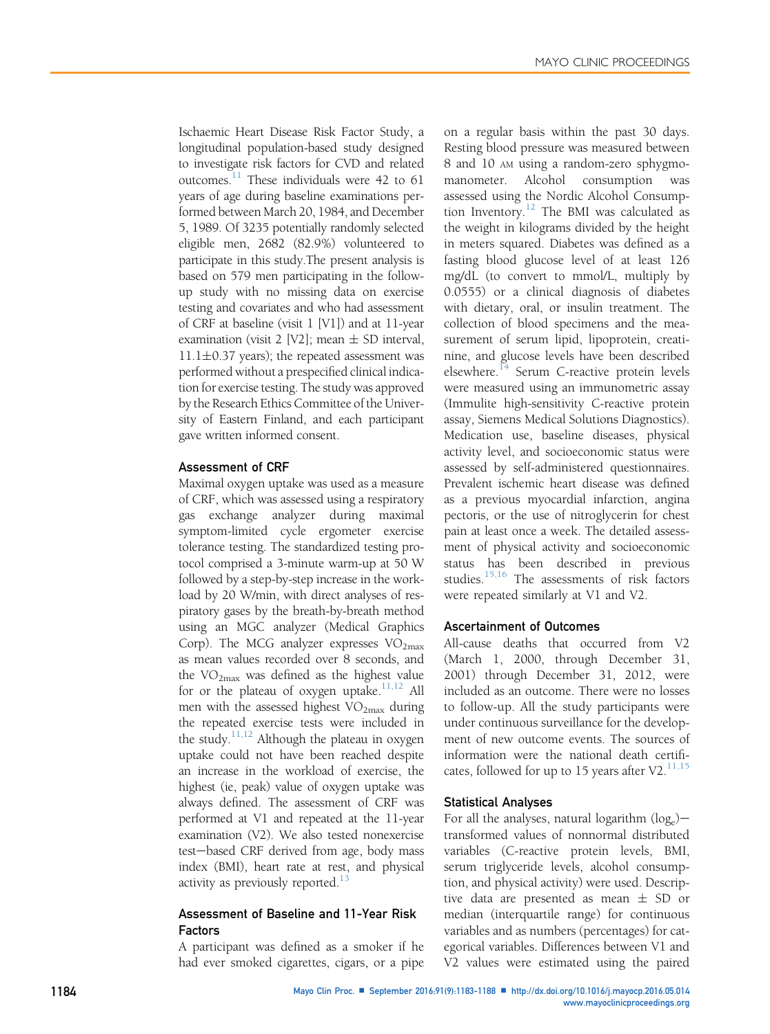Ischaemic Heart Disease Risk Factor Study, a longitudinal population-based study designed to investigate risk factors for CVD and related outcomes.<sup>11</sup> These individuals were 42 to 61 years of age during baseline examinations performed between March 20, 1984, and December 5, 1989. Of 3235 potentially randomly selected eligible men, 2682 (82.9%) volunteered to participate in this study.The present analysis is based on 579 men participating in the followup study with no missing data on exercise testing and covariates and who had assessment of CRF at baseline (visit 1 [V1]) and at 11-year examination (visit 2 [V2]; mean  $\pm$  SD interval,  $11.1\pm0.37$  years); the repeated assessment was performed without a prespecified clinical indication for exercise testing. The study was approved by the Research Ethics Committee of the University of Eastern Finland, and each participant gave written informed consent.

## Assessment of CRF

Maximal oxygen uptake was used as a measure of CRF, which was assessed using a respiratory gas exchange analyzer during maximal symptom-limited cycle ergometer exercise tolerance testing. The standardized testing protocol comprised a 3-minute warm-up at 50 W followed by a step-by-step increase in the workload by 20 W/min, with direct analyses of respiratory gases by the breath-by-breath method using an MGC analyzer (Medical Graphics Corp). The MCG analyzer expresses  $VO<sub>2max</sub>$ as mean values recorded over 8 seconds, and the  $VO<sub>2max</sub>$  was defined as the highest value for or the plateau of oxygen uptake. $11,12$  All men with the assessed highest  $VO<sub>2max</sub>$  during the repeated exercise tests were included in the study. $11,12$  Although the plateau in oxygen uptake could not have been reached despite an increase in the workload of exercise, the highest (ie, peak) value of oxygen uptake was always defined. The assessment of CRF was performed at V1 and repeated at the 11-year examination (V2). We also tested nonexercise test-based CRF derived from age, body mass index (BMI), heart rate at rest, and physical activity as previously reported. $^{13}$ 

# Assessment of Baseline and 11-Year Risk Factors

A participant was defined as a smoker if he had ever smoked cigarettes, cigars, or a pipe on a regular basis within the past 30 days. Resting blood pressure was measured between 8 and 10 AM using a random-zero sphygmomanometer. Alcohol consumption was assessed using the Nordic Alcohol Consump-tion Inventory.<sup>[12](#page-5-0)</sup> The BMI was calculated as the weight in kilograms divided by the height in meters squared. Diabetes was defined as a fasting blood glucose level of at least 126 mg/dL (to convert to mmol/L, multiply by 0.0555) or a clinical diagnosis of diabetes with dietary, oral, or insulin treatment. The collection of blood specimens and the measurement of serum lipid, lipoprotein, creatinine, and glucose levels have been described elsewhere.<sup>[14](#page-5-0)</sup> Serum C-reactive protein levels were measured using an immunometric assay (Immulite high-sensitivity C-reactive protein assay, Siemens Medical Solutions Diagnostics). Medication use, baseline diseases, physical activity level, and socioeconomic status were assessed by self-administered questionnaires. Prevalent ischemic heart disease was defined as a previous myocardial infarction, angina pectoris, or the use of nitroglycerin for chest pain at least once a week. The detailed assessment of physical activity and socioeconomic status has been described in previous studies.<sup>[15,16](#page-5-0)</sup> The assessments of risk factors were repeated similarly at V1 and V2.

## Ascertainment of Outcomes

All-cause deaths that occurred from V2 (March 1, 2000, through December 31, 2001) through December 31, 2012, were included as an outcome. There were no losses to follow-up. All the study participants were under continuous surveillance for the development of new outcome events. The sources of information were the national death certificates, followed for up to 15 years after V2. $^{11,15}$  $^{11,15}$  $^{11,15}$ 

## Statistical Analyses

For all the analyses, natural logarithm  $(log_e)$ transformed values of nonnormal distributed variables (C-reactive protein levels, BMI, serum triglyceride levels, alcohol consumption, and physical activity) were used. Descriptive data are presented as mean  $\pm$  SD or median (interquartile range) for continuous variables and as numbers (percentages) for categorical variables. Differences between V1 and V2 values were estimated using the paired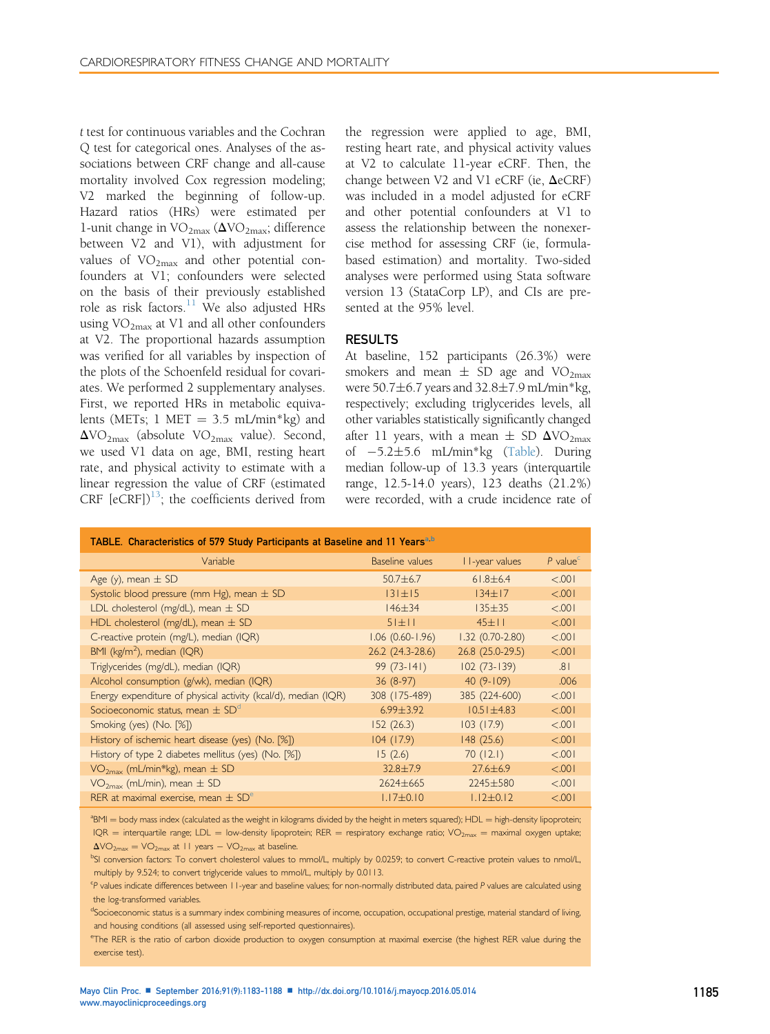t test for continuous variables and the Cochran Q test for categorical ones. Analyses of the associations between CRF change and all-cause mortality involved Cox regression modeling; V2 marked the beginning of follow-up. Hazard ratios (HRs) were estimated per 1-unit change in  $\text{VO}_{2\text{max}}$  ( $\Delta \text{VO}_{2\text{max}}$ ; difference between V2 and V1), with adjustment for values of  $VO<sub>2max</sub>$  and other potential confounders at V1; confounders were selected on the basis of their previously established role as risk factors. $11$  We also adjusted HRs using  $VO<sub>2max</sub>$  at V1 and all other confounders at V2. The proportional hazards assumption was verified for all variables by inspection of the plots of the Schoenfeld residual for covariates. We performed 2 supplementary analyses. First, we reported HRs in metabolic equivalents (METs; 1 MET =  $3.5$  mL/min\*kg) and  $\Delta\text{VO}_{2\text{max}}$  (absolute VO<sub>2max</sub> value). Second, we used V1 data on age, BMI, resting heart rate, and physical activity to estimate with a linear regression the value of CRF (estimated CRF  $[eCRF]$ <sup>[13](#page-5-0)</sup>; the coefficients derived from the regression were applied to age, BMI, resting heart rate, and physical activity values at V2 to calculate 11-year eCRF. Then, the change between V2 and V1 eCRF (ie,  $\Delta$ eCRF) was included in a model adjusted for eCRF and other potential confounders at V1 to assess the relationship between the nonexercise method for assessing CRF (ie, formulabased estimation) and mortality. Two-sided analyses were performed using Stata software version 13 (StataCorp LP), and CIs are presented at the 95% level.

## RESULTS

At baseline, 152 participants (26.3%) were smokers and mean  $\pm$  SD age and VO<sub>2max</sub> were  $50.7\pm6.7$  years and  $32.8\pm7.9$  mL/min\*kg, respectively; excluding triglycerides levels, all other variables statistically significantly changed after 11 years, with a mean  $\pm$  SD  $\Delta\text{VO}_{2\text{max}}$ of 5.25.6 mL/min\*kg (Table). During median follow-up of 13.3 years (interquartile range, 12.5-14.0 years), 123 deaths (21.2%) were recorded, with a crude incidence rate of

| TABLE. Characteristics of 579 Study Participants at Baseline and 11 Years <sup>a,b</sup> |                        |                   |                                     |
|------------------------------------------------------------------------------------------|------------------------|-------------------|-------------------------------------|
| Variable                                                                                 | Baseline values        | I I-year values   | $P$ value <sup><math>c</math></sup> |
| Age (y), mean $\pm$ SD                                                                   | $50.7 + 6.7$           | $61.8 \pm 6.4$    | < 0.001                             |
| Systolic blood pressure (mm Hg), mean $\pm$ SD                                           | $131 + 15$             | $134 \pm 17$      | < 0.001                             |
| LDL cholesterol (mg/dL), mean $\pm$ SD                                                   | $146 + 34$             | $135 + 35$        | < 0.001                             |
| HDL cholesterol (mg/dL), mean $\pm$ SD                                                   | $51 + 11$              | $45 + 11$         | < 0.001                             |
| C-reactive protein (mg/L), median (IQR)                                                  | $1.06$ $(0.60 - 1.96)$ | $1.32(0.70-2.80)$ | < 0.001                             |
| BMI ( $kg/m2$ ), median (IQR)                                                            | 26.2 (24.3-28.6)       | 26.8 (25.0-29.5)  | < 0.001                             |
| Triglycerides (mg/dL), median (IQR)                                                      | $99(73-141)$           | $102(73-139)$     | .81                                 |
| Alcohol consumption (g/wk), median (IQR)                                                 | $36(8-97)$             | $40(9-109)$       | .006                                |
| Energy expenditure of physical activity (kcal/d), median (IQR)                           | 308 (175-489)          | 385 (224-600)     | < 0.001                             |
| Socioeconomic status, mean $\pm$ SD <sup>d</sup>                                         | $6.99 + 3.92$          | $10.51 + 4.83$    | < 0.001                             |
| Smoking (yes) (No. [%])                                                                  | 152(26.3)              | 103(17.9)         | < 0.001                             |
| History of ischemic heart disease (yes) (No. [%])                                        | 104(17.9)              | 148 (25.6)        | < 0.001                             |
| History of type 2 diabetes mellitus (yes) (No. [%])                                      | 15(2.6)                | 70(12.1)          | < 0.001                             |
| $VO2max$ (mL/min*kg), mean $\pm$ SD                                                      | $32.8 \pm 7.9$         | $27.6 \pm 6.9$    | < 0.001                             |
| $VO2max$ (mL/min), mean $\pm$ SD                                                         | $7624 + 665$           | $7745 + 580$      | < 0.001                             |
| RER at maximal exercise, mean $\pm$ SD <sup>e</sup>                                      | $1.17 \pm 0.10$        | $1.12 + 0.12$     | < 0.001                             |

<sup>a</sup>BMI = body mass index (calculated as the weight in kilograms divided by the height in meters squared); HDL = high-density lipoprotein;  $IQR =$  interquartile range; LDL = low-density lipoprotein; RER = respiratory exchange ratio;  $VO_{2max} =$  maximal oxygen uptake;  $\Delta$ VO<sub>2max</sub> = VO<sub>2max</sub> at 11 years  $-$  VO<sub>2max</sub> at baseline.

bSI conversion factors: To convert cholesterol values to mmol/L, multiply by 0.0259; to convert C-reactive protein values to nmol/L, multiply by 9.524; to convert triglyceride values to mmol/L, multiply by 0.0113.

<sup>c</sup>P values indicate differences between 11-year and baseline values; for non-normally distributed data, paired P values are calculated using the log-transformed variables.

dSocioeconomic status is a summary index combining measures of income, occupation, occupational prestige, material standard of living, and housing conditions (all assessed using self-reported questionnaires).

e The RER is the ratio of carbon dioxide production to oxygen consumption at maximal exercise (the highest RER value during the exercise test).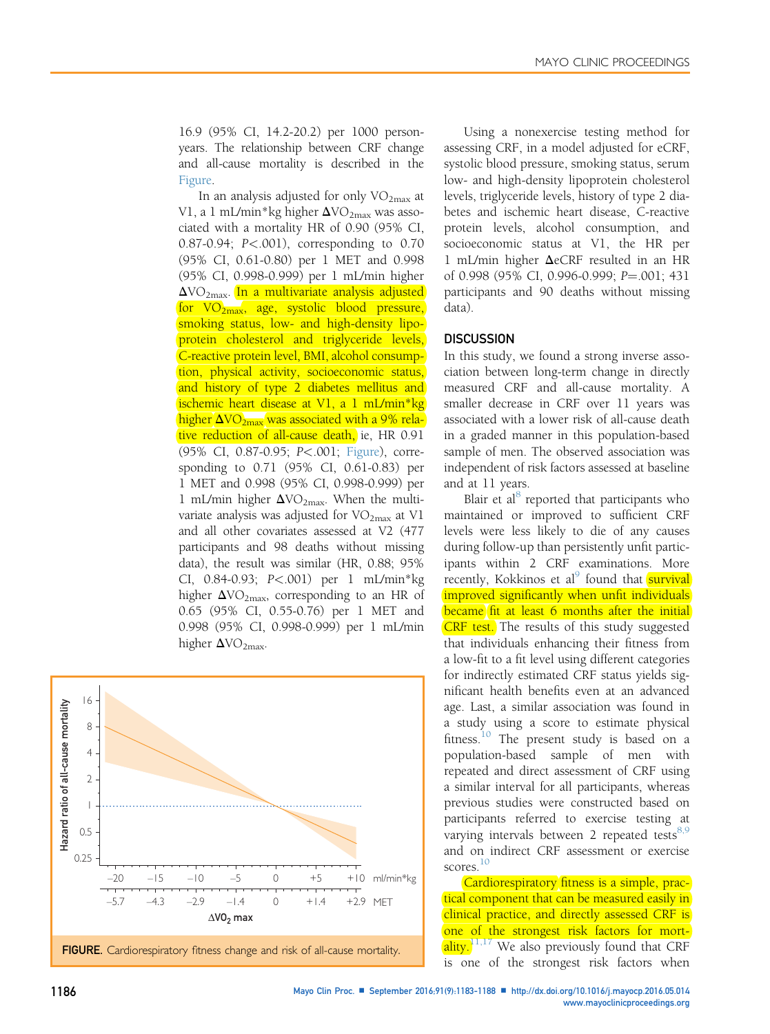16.9 (95% CI, 14.2-20.2) per 1000 personyears. The relationship between CRF change and all-cause mortality is described in the Figure.

In an analysis adjusted for only  $VO<sub>2max</sub>$  at V1, a 1 mL/min\*kg higher  $\Delta$ VO<sub>2max</sub> was associated with a mortality HR of 0.90 (95% CI, 0.87-0.94; P<.001), corresponding to 0.70 (95% CI, 0.61-0.80) per 1 MET and 0.998 (95% CI, 0.998-0.999) per 1 mL/min higher  $\Delta$ VO<sub>2max</sub>. In a multivariate analysis adjusted for  $VO_{2max}$ , age, systolic blood pressure, smoking status, low- and high-density lipoprotein cholesterol and triglyceride levels, C-reactive protein level, BMI, alcohol consumption, physical activity, socioeconomic status, and history of type 2 diabetes mellitus and ischemic heart disease at V1, a 1 mL/min\*kg higher  $\Delta\text{VO}_{2\text{max}}$  was associated with a 9% relative reduction of all-cause death, ie, HR 0.91 (95% CI, 0.87-0.95; P<.001; Figure), corresponding to 0.71 (95% CI, 0.61-0.83) per 1 MET and 0.998 (95% CI, 0.998-0.999) per 1 mL/min higher  $\Delta\text{VO}_{2\text{max}}$ . When the multivariate analysis was adjusted for  $VO<sub>2max</sub>$  at V1 and all other covariates assessed at V2 (477 participants and 98 deaths without missing data), the result was similar (HR, 0.88; 95% CI, 0.84-0.93; P<.001) per 1 mL/min\*kg higher  $\Delta\text{VO}_{2\text{max}}$ , corresponding to an HR of 0.65 (95% CI, 0.55-0.76) per 1 MET and 0.998 (95% CI, 0.998-0.999) per 1 mL/min higher  $\Delta\text{VO}_{2\text{max}}$ .



Using a nonexercise testing method for assessing CRF, in a model adjusted for eCRF, systolic blood pressure, smoking status, serum low- and high-density lipoprotein cholesterol levels, triglyceride levels, history of type 2 diabetes and ischemic heart disease, C-reactive protein levels, alcohol consumption, and socioeconomic status at V1, the HR per 1 mL/min higher  $\Delta$ eCRF resulted in an HR of 0.998 (95% CI, 0.996-0.999; P=.001; 431 participants and 90 deaths without missing data).

## **DISCUSSION**

In this study, we found a strong inverse association between long-term change in directly measured CRF and all-cause mortality. A smaller decrease in CRF over 11 years was associated with a lower risk of all-cause death in a graded manner in this population-based sample of men. The observed association was independent of risk factors assessed at baseline and at 11 years.

Blair et al<sup>[8](#page-4-0)</sup> reported that participants who maintained or improved to sufficient CRF levels were less likely to die of any causes during follow-up than persistently unfit participants within 2 CRF examinations. More recently, Kokkinos et al<sup>9</sup> found that **survival** improved significantly when unfit individuals became fit at least 6 months after the initial **CRF** test. The results of this study suggested that individuals enhancing their fitness from a low-fit to a fit level using different categories for indirectly estimated CRF status yields significant health benefits even at an advanced age. Last, a similar association was found in a study using a score to estimate physical fitness.<sup>[10](#page-5-0)</sup> The present study is based on a population-based sample of men with repeated and direct assessment of CRF using a similar interval for all participants, whereas previous studies were constructed based on participants referred to exercise testing at varying intervals between 2 repeated tests $8.9$ and on indirect CRF assessment or exercise scores.<sup>[10](#page-5-0)</sup>

Cardiorespiratory fitness is a simple, practical component that can be measured easily in clinical practice, and directly assessed CRF is one of the strongest risk factors for mort- $\left[ \text{ality.} \right]^{1,17}$  We also previously found that CRF is one of the strongest risk factors when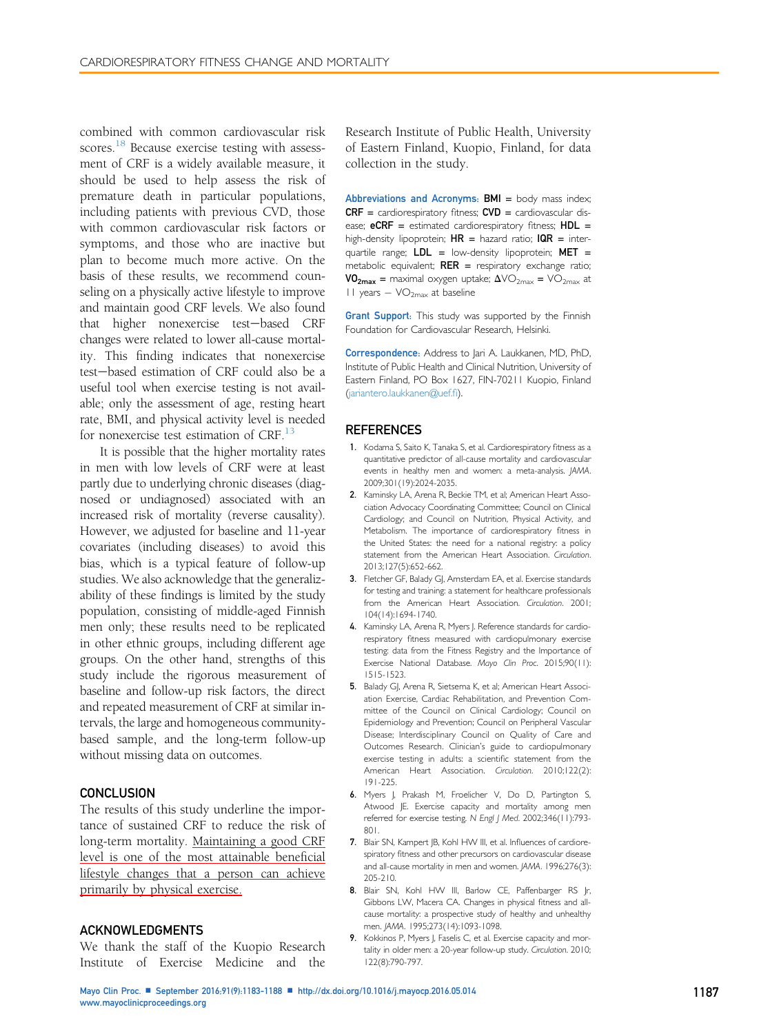<span id="page-4-0"></span>combined with common cardiovascular risk scores.<sup>[18](#page-5-0)</sup> Because exercise testing with assessment of CRF is a widely available measure, it should be used to help assess the risk of premature death in particular populations, including patients with previous CVD, those with common cardiovascular risk factors or symptoms, and those who are inactive but plan to become much more active. On the basis of these results, we recommend counseling on a physically active lifestyle to improve and maintain good CRF levels. We also found that higher nonexercise test-based CRF changes were related to lower all-cause mortality. This finding indicates that nonexercise test-based estimation of CRF could also be a useful tool when exercise testing is not available; only the assessment of age, resting heart rate, BMI, and physical activity level is needed for nonexercise test estimation of  $CRF<sup>13</sup>$ .

It is possible that the higher mortality rates in men with low levels of CRF were at least partly due to underlying chronic diseases (diagnosed or undiagnosed) associated with an increased risk of mortality (reverse causality). However, we adjusted for baseline and 11-year covariates (including diseases) to avoid this bias, which is a typical feature of follow-up studies. We also acknowledge that the generalizability of these findings is limited by the study population, consisting of middle-aged Finnish men only; these results need to be replicated in other ethnic groups, including different age groups. On the other hand, strengths of this study include the rigorous measurement of baseline and follow-up risk factors, the direct and repeated measurement of CRF at similar intervals, the large and homogeneous communitybased sample, and the long-term follow-up without missing data on outcomes.

#### **CONCLUSION**

The results of this study underline the importance of sustained CRF to reduce the risk of long-term mortality. Maintaining a good CRF level is one of the most attainable beneficial lifestyle changes that a person can achieve primarily by physical exercise.

#### ACKNOWLEDGMENTS

We thank the staff of the Kuopio Research Institute of Exercise Medicine and the

Research Institute of Public Health, University of Eastern Finland, Kuopio, Finland, for data collection in the study.

Abbreviations and Acronyms:  $\text{BMI} = \text{body}$  mass index;  $CRF =$  cardiorespiratory fitness;  $CVD =$  cardiovascular disease;  $eCRF =$  estimated cardiorespiratory fitness;  $HDL =$ high-density lipoprotein;  $HR =$  hazard ratio;  $IQR =$  interquartile range;  $LDL =$  low-density lipoprotein; MET = metabolic equivalent;  $RER$  = respiratory exchange ratio;  $VO_{2max}$  = maximal oxygen uptake;  $\Delta \text{VO}_{2max}$  =  $\text{VO}_{2max}$  at 11 years  $-VO<sub>2max</sub>$  at baseline

Grant Support: This study was supported by the Finnish Foundation for Cardiovascular Research, Helsinki.

Correspondence: Address to Jari A. Laukkanen, MD, PhD, Institute of Public Health and Clinical Nutrition, University of Eastern Finland, PO Box 1627, FIN-70211 Kuopio, Finland [\(jariantero.laukkanen@uef.](mailto:jariantero.laukkanen@uef.fi)fi).

#### REFERENCES

- 1. Kodama S, Saito K, Tanaka S, et al. Cardiorespiratory fitness as a quantitative predictor of all-cause mortality and cardiovascular events in healthy men and women: a meta-analysis. JAMA. 2009;301(19):2024-2035.
- 2. Kaminsky LA, Arena R, Beckie TM, et al; American Heart Association Advocacy Coordinating Committee; Council on Clinical Cardiology; and Council on Nutrition, Physical Activity, and Metabolism. The importance of cardiorespiratory fitness in the United States: the need for a national registry: a policy statement from the American Heart Association. Circulation. 2013;127(5):652-662.
- 3. Fletcher GF, Balady GJ, Amsterdam EA, et al. Exercise standards for testing and training: a statement for healthcare professionals from the American Heart Association. Circulation. 2001; 104(14):1694-1740.
- 4. Kaminsky LA, Arena R, Myers J. Reference standards for cardiorespiratory fitness measured with cardiopulmonary exercise testing: data from the Fitness Registry and the Importance of Exercise National Database. Mayo Clin Proc. 2015;90(11): 1515-1523.
- 5. Balady GJ, Arena R, Sietsema K, et al; American Heart Association Exercise, Cardiac Rehabilitation, and Prevention Committee of the Council on Clinical Cardiology; Council on Epidemiology and Prevention; Council on Peripheral Vascular Disease; Interdisciplinary Council on Quality of Care and Outcomes Research. Clinician's guide to cardiopulmonary exercise testing in adults: a scientific statement from the American Heart Association. Circulation. 2010;122(2): 191-225.
- 6. Myers J, Prakash M, Froelicher V, Do D, Partington S, Atwood JE. Exercise capacity and mortality among men referred for exercise testing. N Engl J Med. 2002;346(11):793- 801.
- 7. Blair SN, Kampert JB, Kohl HW III, et al. Influences of cardiorespiratory fitness and other precursors on cardiovascular disease and all-cause mortality in men and women. JAMA. 1996;276(3): 205-210.
- 8. Blair SN, Kohl HW III, Barlow CE, Paffenbarger RS Jr, Gibbons LW, Macera CA. Changes in physical fitness and allcause mortality: a prospective study of healthy and unhealthy men. JAMA. 1995;273(14):1093-1098.
- 9. Kokkinos P, Myers J, Faselis C, et al. Exercise capacity and mortality in older men: a 20-year follow-up study. Circulation. 2010; 122(8):790-797.